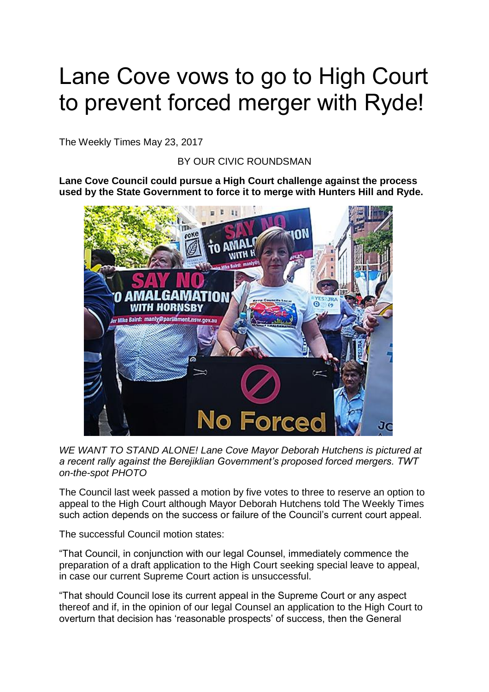## Lane Cove vows to go to High Court to prevent forced merger with Ryde!

The Weekly Times May 23, 2017

BY OUR CIVIC ROUNDSMAN

**Lane Cove Council could pursue a High Court challenge against the process used by the State Government to force it to merge with Hunters Hill and Ryde.**



*WE WANT TO STAND ALONE! Lane Cove Mayor Deborah Hutchens is pictured at a recent rally against the Berejiklian Government's proposed forced mergers. TWT on-the-spot PHOTO*

The Council last week passed a motion by five votes to three to reserve an option to appeal to the High Court although Mayor Deborah Hutchens told The Weekly Times such action depends on the success or failure of the Council's current court appeal.

The successful Council motion states:

"That Council, in conjunction with our legal Counsel, immediately commence the preparation of a draft application to the High Court seeking special leave to appeal, in case our current Supreme Court action is unsuccessful.

"That should Council lose its current appeal in the Supreme Court or any aspect thereof and if, in the opinion of our legal Counsel an application to the High Court to overturn that decision has 'reasonable prospects' of success, then the General